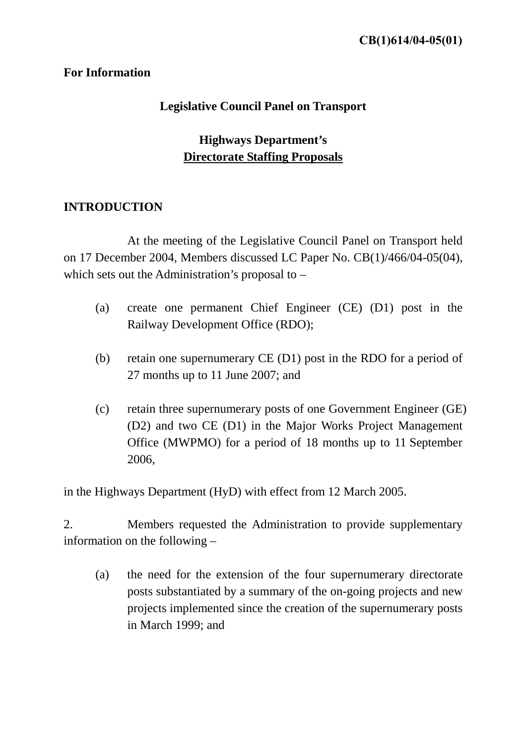### **For Information**

# **Legislative Council Panel on Transport**

# **Highways Department's Directorate Staffing Proposals**

# **INTRODUCTION**

 At the meeting of the Legislative Council Panel on Transport held on 17 December 2004, Members discussed LC Paper No. CB(1)/466/04-05(04), which sets out the Administration's proposal to –

- (a) create one permanent Chief Engineer (CE) (D1) post in the Railway Development Office (RDO);
- (b) retain one supernumerary CE (D1) post in the RDO for a period of 27 months up to 11 June 2007; and
- (c) retain three supernumerary posts of one Government Engineer (GE) (D2) and two CE (D1) in the Major Works Project Management Office (MWPMO) for a period of 18 months up to 11 September 2006,

in the Highways Department (HyD) with effect from 12 March 2005.

2. Members requested the Administration to provide supplementary information on the following –

(a) the need for the extension of the four supernumerary directorate posts substantiated by a summary of the on-going projects and new projects implemented since the creation of the supernumerary posts in March 1999; and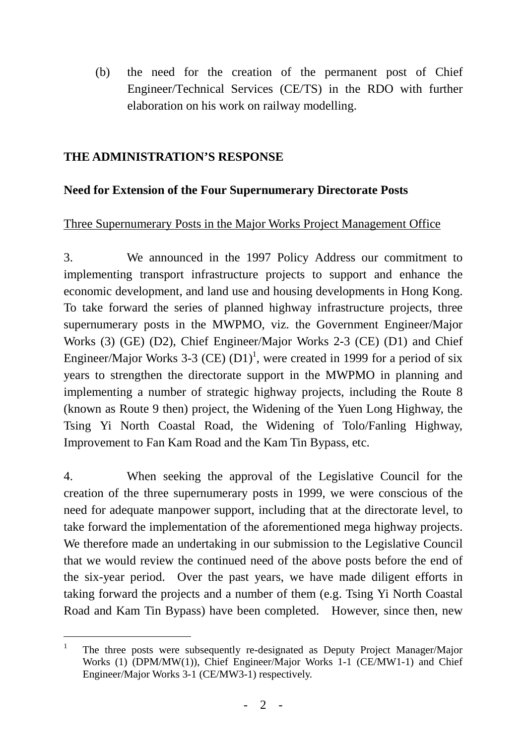(b) the need for the creation of the permanent post of Chief Engineer/Technical Services (CE/TS) in the RDO with further elaboration on his work on railway modelling.

## **THE ADMINISTRATION'S RESPONSE**

# **Need for Extension of the Four Supernumerary Directorate Posts**

### Three Supernumerary Posts in the Major Works Project Management Office

3. We announced in the 1997 Policy Address our commitment to implementing transport infrastructure projects to support and enhance the economic development, and land use and housing developments in Hong Kong. To take forward the series of planned highway infrastructure projects, three supernumerary posts in the MWPMO, viz. the Government Engineer/Major Works (3) (GE) (D2), Chief Engineer/Major Works 2-3 (CE) (D1) and Chief Engineer/Major Works 3-3 (CE)  $(D1)^1$ , were created in 1999 for a period of six years to strengthen the directorate support in the MWPMO in planning and implementing a number of strategic highway projects, including the Route 8 (known as Route 9 then) project, the Widening of the Yuen Long Highway, the Tsing Yi North Coastal Road, the Widening of Tolo/Fanling Highway, Improvement to Fan Kam Road and the Kam Tin Bypass, etc.

4. When seeking the approval of the Legislative Council for the creation of the three supernumerary posts in 1999, we were conscious of the need for adequate manpower support, including that at the directorate level, to take forward the implementation of the aforementioned mega highway projects. We therefore made an undertaking in our submission to the Legislative Council that we would review the continued need of the above posts before the end of the six-year period. Over the past years, we have made diligent efforts in taking forward the projects and a number of them (e.g. Tsing Yi North Coastal Road and Kam Tin Bypass) have been completed. However, since then, new

l

<sup>1</sup> The three posts were subsequently re-designated as Deputy Project Manager/Major Works (1) (DPM/MW(1)), Chief Engineer/Major Works 1-1 (CE/MW1-1) and Chief Engineer/Major Works 3-1 (CE/MW3-1) respectively.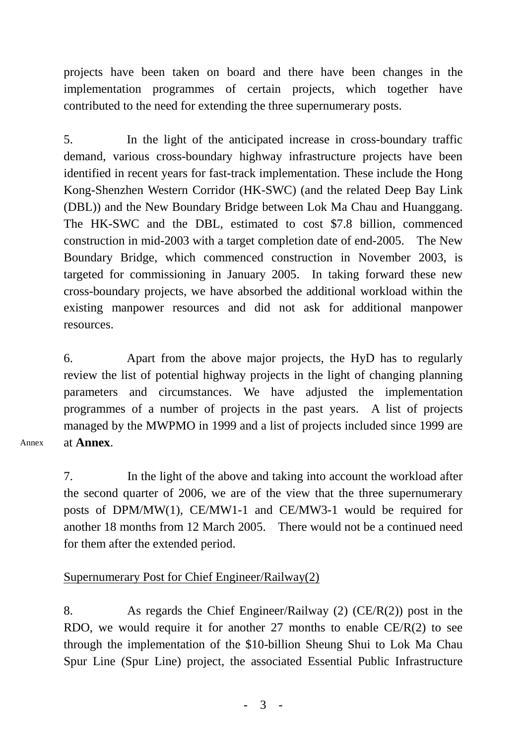projects have been taken on board and there have been changes in the implementation programmes of certain projects, which together have contributed to the need for extending the three supernumerary posts.

5. In the light of the anticipated increase in cross-boundary traffic demand, various cross-boundary highway infrastructure projects have been identified in recent years for fast-track implementation. These include the Hong Kong-Shenzhen Western Corridor (HK-SWC) (and the related Deep Bay Link (DBL)) and the New Boundary Bridge between Lok Ma Chau and Huanggang. The HK-SWC and the DBL, estimated to cost \$7.8 billion, commenced construction in mid-2003 with a target completion date of end-2005. The New Boundary Bridge, which commenced construction in November 2003, is targeted for commissioning in January 2005. In taking forward these new cross-boundary projects, we have absorbed the additional workload within the existing manpower resources and did not ask for additional manpower resources.

6. Apart from the above major projects, the HyD has to regularly review the list of potential highway projects in the light of changing planning parameters and circumstances. We have adjusted the implementation programmes of a number of projects in the past years. A list of projects managed by the MWPMO in 1999 and a list of projects included since 1999 are at **Annex**.

Annex

7. In the light of the above and taking into account the workload after the second quarter of 2006, we are of the view that the three supernumerary posts of DPM/MW(1), CE/MW1-1 and CE/MW3-1 would be required for another 18 months from 12 March 2005. There would not be a continued need for them after the extended period.

# Supernumerary Post for Chief Engineer/Railway(2)

8. As regards the Chief Engineer/Railway (2) (CE/R(2)) post in the RDO, we would require it for another 27 months to enable CE/R(2) to see through the implementation of the \$10-billion Sheung Shui to Lok Ma Chau Spur Line (Spur Line) project, the associated Essential Public Infrastructure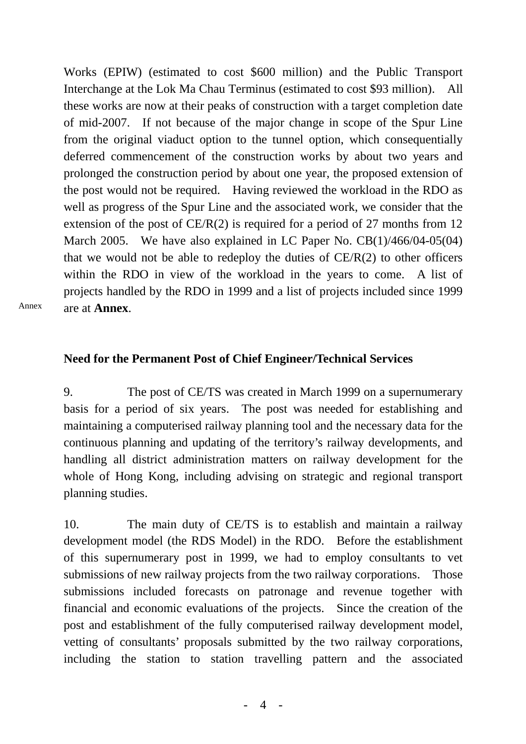Works (EPIW) (estimated to cost \$600 million) and the Public Transport Interchange at the Lok Ma Chau Terminus (estimated to cost \$93 million). All these works are now at their peaks of construction with a target completion date of mid-2007. If not because of the major change in scope of the Spur Line from the original viaduct option to the tunnel option, which consequentially deferred commencement of the construction works by about two years and prolonged the construction period by about one year, the proposed extension of the post would not be required. Having reviewed the workload in the RDO as well as progress of the Spur Line and the associated work, we consider that the extension of the post of CE/R(2) is required for a period of 27 months from 12 March 2005. We have also explained in LC Paper No. CB(1)/466/04-05(04) that we would not be able to redeploy the duties of  $CE/R(2)$  to other officers within the RDO in view of the workload in the years to come. A list of projects handled by the RDO in 1999 and a list of projects included since 1999 are at **Annex**.

Annex

#### **Need for the Permanent Post of Chief Engineer/Technical Services**

9. The post of CE/TS was created in March 1999 on a supernumerary basis for a period of six years. The post was needed for establishing and maintaining a computerised railway planning tool and the necessary data for the continuous planning and updating of the territory's railway developments, and handling all district administration matters on railway development for the whole of Hong Kong, including advising on strategic and regional transport planning studies.

10. The main duty of CE/TS is to establish and maintain a railway development model (the RDS Model) in the RDO. Before the establishment of this supernumerary post in 1999, we had to employ consultants to vet submissions of new railway projects from the two railway corporations. Those submissions included forecasts on patronage and revenue together with financial and economic evaluations of the projects. Since the creation of the post and establishment of the fully computerised railway development model, vetting of consultants' proposals submitted by the two railway corporations, including the station to station travelling pattern and the associated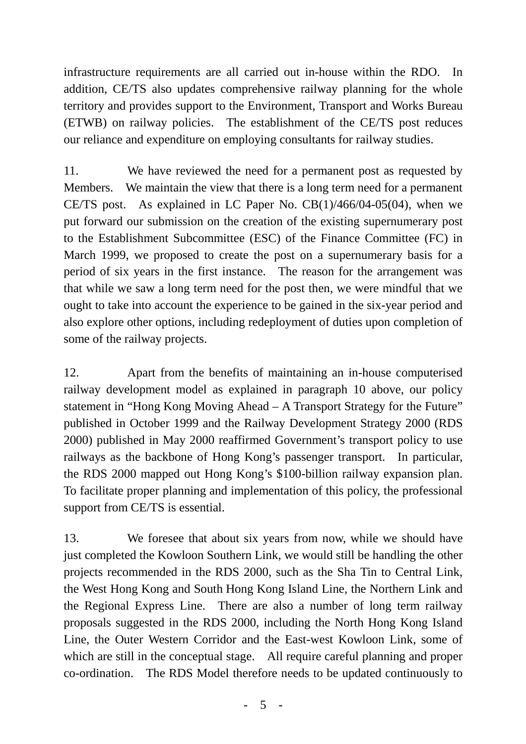infrastructure requirements are all carried out in-house within the RDO. In addition, CE/TS also updates comprehensive railway planning for the whole territory and provides support to the Environment, Transport and Works Bureau (ETWB) on railway policies. The establishment of the CE/TS post reduces our reliance and expenditure on employing consultants for railway studies.

11. We have reviewed the need for a permanent post as requested by Members. We maintain the view that there is a long term need for a permanent CE/TS post. As explained in LC Paper No. CB(1)/466/04-05(04), when we put forward our submission on the creation of the existing supernumerary post to the Establishment Subcommittee (ESC) of the Finance Committee (FC) in March 1999, we proposed to create the post on a supernumerary basis for a period of six years in the first instance. The reason for the arrangement was that while we saw a long term need for the post then, we were mindful that we ought to take into account the experience to be gained in the six-year period and also explore other options, including redeployment of duties upon completion of some of the railway projects.

12. Apart from the benefits of maintaining an in-house computerised railway development model as explained in paragraph 10 above, our policy statement in "Hong Kong Moving Ahead – A Transport Strategy for the Future" published in October 1999 and the Railway Development Strategy 2000 (RDS 2000) published in May 2000 reaffirmed Government's transport policy to use railways as the backbone of Hong Kong's passenger transport. In particular, the RDS 2000 mapped out Hong Kong's \$100-billion railway expansion plan. To facilitate proper planning and implementation of this policy, the professional support from CE/TS is essential.

13. We foresee that about six years from now, while we should have just completed the Kowloon Southern Link, we would still be handling the other projects recommended in the RDS 2000, such as the Sha Tin to Central Link, the West Hong Kong and South Hong Kong Island Line, the Northern Link and the Regional Express Line. There are also a number of long term railway proposals suggested in the RDS 2000, including the North Hong Kong Island Line, the Outer Western Corridor and the East-west Kowloon Link, some of which are still in the conceptual stage. All require careful planning and proper co-ordination. The RDS Model therefore needs to be updated continuously to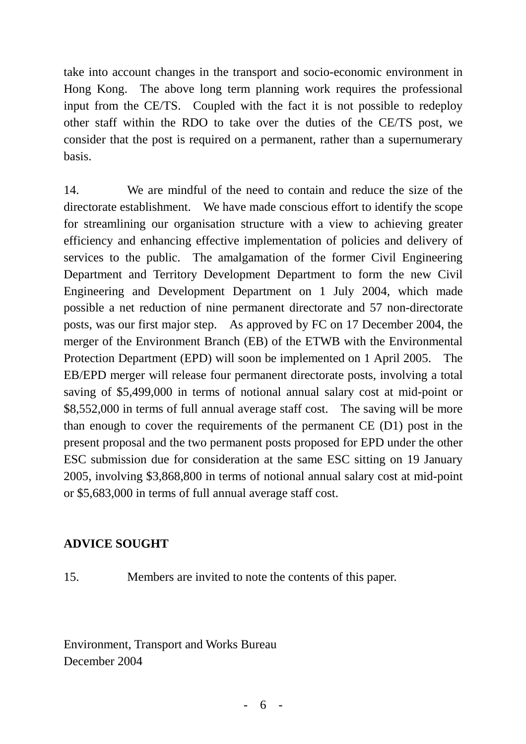take into account changes in the transport and socio-economic environment in Hong Kong. The above long term planning work requires the professional input from the CE/TS. Coupled with the fact it is not possible to redeploy other staff within the RDO to take over the duties of the CE/TS post, we consider that the post is required on a permanent, rather than a supernumerary basis.

14. We are mindful of the need to contain and reduce the size of the directorate establishment. We have made conscious effort to identify the scope for streamlining our organisation structure with a view to achieving greater efficiency and enhancing effective implementation of policies and delivery of services to the public. The amalgamation of the former Civil Engineering Department and Territory Development Department to form the new Civil Engineering and Development Department on 1 July 2004, which made possible a net reduction of nine permanent directorate and 57 non-directorate posts, was our first major step. As approved by FC on 17 December 2004, the merger of the Environment Branch (EB) of the ETWB with the Environmental Protection Department (EPD) will soon be implemented on 1 April 2005. The EB/EPD merger will release four permanent directorate posts, involving a total saving of \$5,499,000 in terms of notional annual salary cost at mid-point or \$8,552,000 in terms of full annual average staff cost. The saving will be more than enough to cover the requirements of the permanent CE (D1) post in the present proposal and the two permanent posts proposed for EPD under the other ESC submission due for consideration at the same ESC sitting on 19 January 2005, involving \$3,868,800 in terms of notional annual salary cost at mid-point or \$5,683,000 in terms of full annual average staff cost.

# **ADVICE SOUGHT**

15. Members are invited to note the contents of this paper.

Environment, Transport and Works Bureau December 2004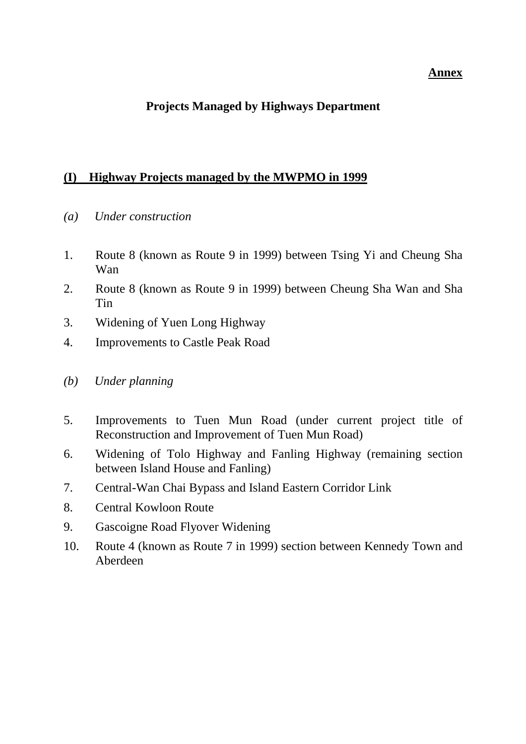#### **Annex**

# **Projects Managed by Highways Department**

### **(I) Highway Projects managed by the MWPMO in 1999**

- *(a) Under construction*
- 1. Route 8 (known as Route 9 in 1999) between Tsing Yi and Cheung Sha Wan
- 2. Route 8 (known as Route 9 in 1999) between Cheung Sha Wan and Sha Tin
- 3. Widening of Yuen Long Highway
- 4. Improvements to Castle Peak Road
- *(b) Under planning*
- 5. Improvements to Tuen Mun Road (under current project title of Reconstruction and Improvement of Tuen Mun Road)
- 6. Widening of Tolo Highway and Fanling Highway (remaining section between Island House and Fanling)
- 7. Central-Wan Chai Bypass and Island Eastern Corridor Link
- 8. Central Kowloon Route
- 9. Gascoigne Road Flyover Widening
- 10. Route 4 (known as Route 7 in 1999) section between Kennedy Town and Aberdeen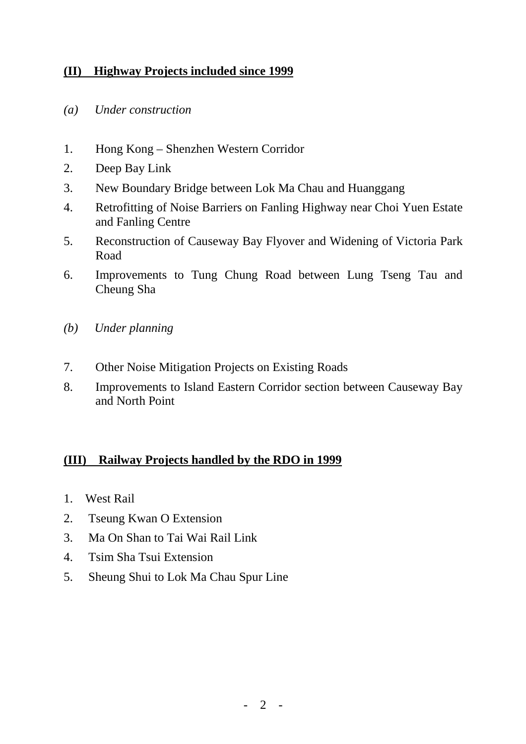# **(II) Highway Projects included since 1999**

- *(a) Under construction*
- 1. Hong Kong Shenzhen Western Corridor
- 2. Deep Bay Link
- 3. New Boundary Bridge between Lok Ma Chau and Huanggang
- 4. Retrofitting of Noise Barriers on Fanling Highway near Choi Yuen Estate and Fanling Centre
- 5. Reconstruction of Causeway Bay Flyover and Widening of Victoria Park Road
- 6. Improvements to Tung Chung Road between Lung Tseng Tau and Cheung Sha
- *(b) Under planning*
- 7. Other Noise Mitigation Projects on Existing Roads
- 8. Improvements to Island Eastern Corridor section between Causeway Bay and North Point

# **(III) Railway Projects handled by the RDO in 1999**

- 1. West Rail
- 2. Tseung Kwan O Extension
- 3. Ma On Shan to Tai Wai Rail Link
- 4. Tsim Sha Tsui Extension
- 5. Sheung Shui to Lok Ma Chau Spur Line